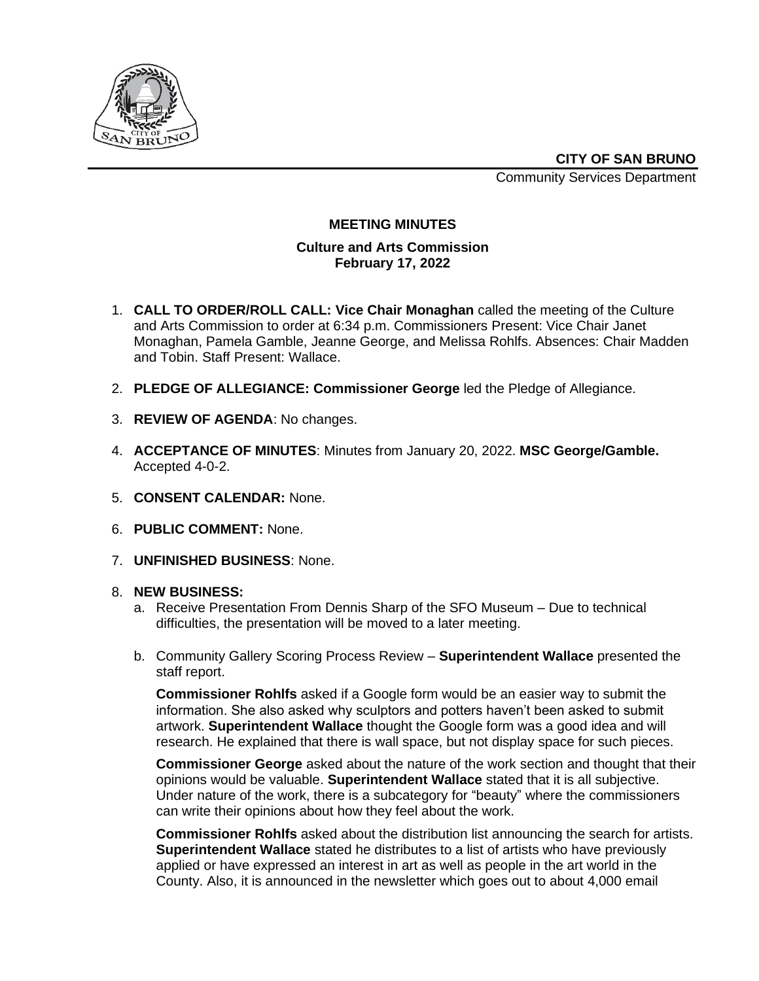

**CITY OF SAN BRUNO**

Community Services Department

## **MEETING MINUTES**

## **Culture and Arts Commission February 17, 2022**

- 1. **CALL TO ORDER/ROLL CALL: Vice Chair Monaghan** called the meeting of the Culture and Arts Commission to order at 6:34 p.m. Commissioners Present: Vice Chair Janet Monaghan, Pamela Gamble, Jeanne George, and Melissa Rohlfs. Absences: Chair Madden and Tobin. Staff Present: Wallace.
- 2. **PLEDGE OF ALLEGIANCE: Commissioner George** led the Pledge of Allegiance.
- 3. **REVIEW OF AGENDA**: No changes.
- 4. **ACCEPTANCE OF MINUTES**: Minutes from January 20, 2022. **MSC George/Gamble.**  Accepted 4-0-2.
- 5. **CONSENT CALENDAR:** None.
- 6. **PUBLIC COMMENT:** None.
- 7. **UNFINISHED BUSINESS**: None.
- 8. **NEW BUSINESS:**
	- a. Receive Presentation From Dennis Sharp of the SFO Museum Due to technical difficulties, the presentation will be moved to a later meeting.
	- b. Community Gallery Scoring Process Review **Superintendent Wallace** presented the staff report.

**Commissioner Rohlfs** asked if a Google form would be an easier way to submit the information. She also asked why sculptors and potters haven't been asked to submit artwork. **Superintendent Wallace** thought the Google form was a good idea and will research. He explained that there is wall space, but not display space for such pieces.

**Commissioner George** asked about the nature of the work section and thought that their opinions would be valuable. **Superintendent Wallace** stated that it is all subjective. Under nature of the work, there is a subcategory for "beauty" where the commissioners can write their opinions about how they feel about the work.

**Commissioner Rohlfs** asked about the distribution list announcing the search for artists. **Superintendent Wallace** stated he distributes to a list of artists who have previously applied or have expressed an interest in art as well as people in the art world in the County. Also, it is announced in the newsletter which goes out to about 4,000 email